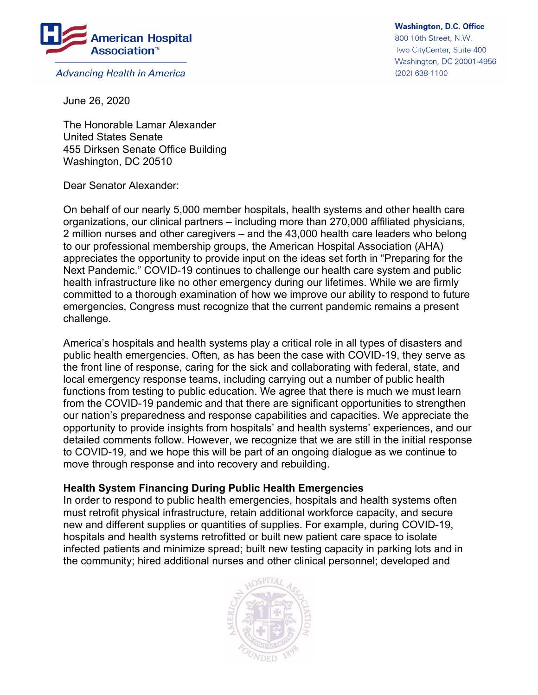

**Advancing Health in America** 

June 26, 2020

The Honorable Lamar Alexander United States Senate 455 Dirksen Senate Office Building Washington, DC 20510

Dear Senator Alexander:

On behalf of our nearly 5,000 member hospitals, health systems and other health care organizations, our clinical partners – including more than 270,000 affiliated physicians, 2 million nurses and other caregivers – and the 43,000 health care leaders who belong to our professional membership groups, the American Hospital Association (AHA) appreciates the opportunity to provide input on the ideas set forth in "Preparing for the Next Pandemic." COVID-19 continues to challenge our health care system and public health infrastructure like no other emergency during our lifetimes. While we are firmly committed to a thorough examination of how we improve our ability to respond to future emergencies, Congress must recognize that the current pandemic remains a present challenge.

America's hospitals and health systems play a critical role in all types of disasters and public health emergencies. Often, as has been the case with COVID-19, they serve as the front line of response, caring for the sick and collaborating with federal, state, and local emergency response teams, including carrying out a number of public health functions from testing to public education. We agree that there is much we must learn from the COVID-19 pandemic and that there are significant opportunities to strengthen our nation's preparedness and response capabilities and capacities. We appreciate the opportunity to provide insights from hospitals' and health systems' experiences, and our detailed comments follow. However, we recognize that we are still in the initial response to COVID-19, and we hope this will be part of an ongoing dialogue as we continue to move through response and into recovery and rebuilding.

## **Health System Financing During Public Health Emergencies**

In order to respond to public health emergencies, hospitals and health systems often must retrofit physical infrastructure, retain additional workforce capacity, and secure new and different supplies or quantities of supplies. For example, during COVID-19, hospitals and health systems retrofitted or built new patient care space to isolate infected patients and minimize spread; built new testing capacity in parking lots and in the community; hired additional nurses and other clinical personnel; developed and



**Washington, D.C. Office** 800 10th Street, N.W. Two CityCenter, Suite 400 Washington, DC 20001-4956

(202) 638-1100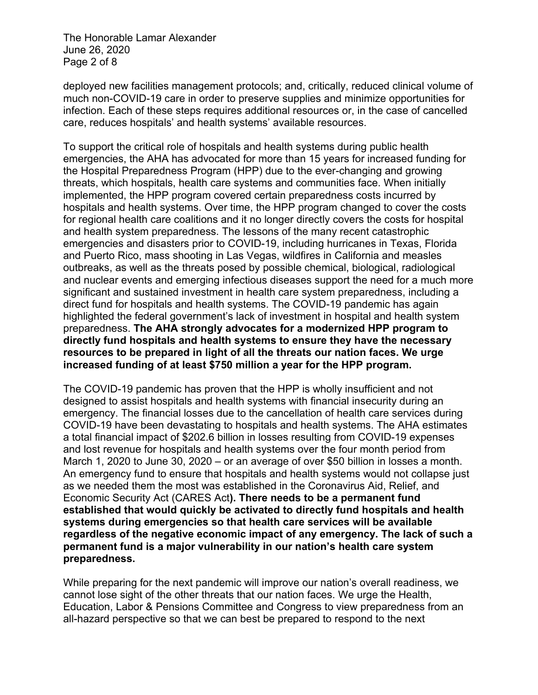The Honorable Lamar Alexander June 26, 2020 Page 2 of 8

deployed new facilities management protocols; and, critically, reduced clinical volume of much non-COVID-19 care in order to preserve supplies and minimize opportunities for infection. Each of these steps requires additional resources or, in the case of cancelled care, reduces hospitals' and health systems' available resources.

To support the critical role of hospitals and health systems during public health emergencies, the AHA has advocated for more than 15 years for increased funding for the Hospital Preparedness Program (HPP) due to the ever-changing and growing threats, which hospitals, health care systems and communities face. When initially implemented, the HPP program covered certain preparedness costs incurred by hospitals and health systems. Over time, the HPP program changed to cover the costs for regional health care coalitions and it no longer directly covers the costs for hospital and health system preparedness. The lessons of the many recent catastrophic emergencies and disasters prior to COVID-19, including hurricanes in Texas, Florida and Puerto Rico, mass shooting in Las Vegas, wildfires in California and measles outbreaks, as well as the threats posed by possible chemical, biological, radiological and nuclear events and emerging infectious diseases support the need for a much more significant and sustained investment in health care system preparedness, including a direct fund for hospitals and health systems. The COVID-19 pandemic has again highlighted the federal government's lack of investment in hospital and health system preparedness. **The AHA strongly advocates for a modernized HPP program to directly fund hospitals and health systems to ensure they have the necessary resources to be prepared in light of all the threats our nation faces. We urge increased funding of at least \$750 million a year for the HPP program.**

The COVID-19 pandemic has proven that the HPP is wholly insufficient and not designed to assist hospitals and health systems with financial insecurity during an emergency. The financial losses due to the cancellation of health care services during COVID-19 have been devastating to hospitals and health systems. The AHA estimates a total financial impact of \$202.6 billion in losses resulting from COVID-19 expenses and lost revenue for hospitals and health systems over the four month period from March 1, 2020 to June 30, 2020 – or an average of over \$50 billion in losses a month. An emergency fund to ensure that hospitals and health systems would not collapse just as we needed them the most was established in the Coronavirus Aid, Relief, and Economic Security Act (CARES Act**). There needs to be a permanent fund established that would quickly be activated to directly fund hospitals and health systems during emergencies so that health care services will be available regardless of the negative economic impact of any emergency. The lack of such a permanent fund is a major vulnerability in our nation's health care system preparedness.** 

While preparing for the next pandemic will improve our nation's overall readiness, we cannot lose sight of the other threats that our nation faces. We urge the Health, Education, Labor & Pensions Committee and Congress to view preparedness from an all-hazard perspective so that we can best be prepared to respond to the next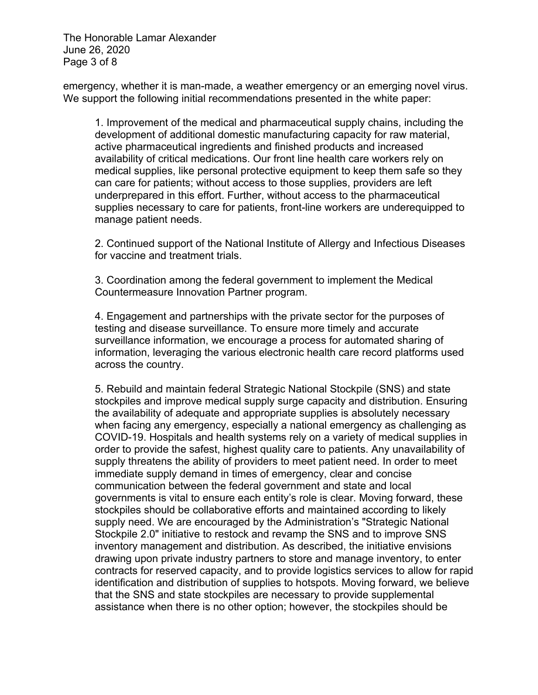The Honorable Lamar Alexander June 26, 2020 Page 3 of 8

emergency, whether it is man-made, a weather emergency or an emerging novel virus. We support the following initial recommendations presented in the white paper:

1. Improvement of the medical and pharmaceutical supply chains, including the development of additional domestic manufacturing capacity for raw material, active pharmaceutical ingredients and finished products and increased availability of critical medications. Our front line health care workers rely on medical supplies, like personal protective equipment to keep them safe so they can care for patients; without access to those supplies, providers are left underprepared in this effort. Further, without access to the pharmaceutical supplies necessary to care for patients, front-line workers are underequipped to manage patient needs.

2. Continued support of the National Institute of Allergy and Infectious Diseases for vaccine and treatment trials.

3. Coordination among the federal government to implement the Medical Countermeasure Innovation Partner program.

4. Engagement and partnerships with the private sector for the purposes of testing and disease surveillance. To ensure more timely and accurate surveillance information, we encourage a process for automated sharing of information, leveraging the various electronic health care record platforms used across the country.

5. Rebuild and maintain federal Strategic National Stockpile (SNS) and state stockpiles and improve medical supply surge capacity and distribution. Ensuring the availability of adequate and appropriate supplies is absolutely necessary when facing any emergency, especially a national emergency as challenging as COVID-19. Hospitals and health systems rely on a variety of medical supplies in order to provide the safest, highest quality care to patients. Any unavailability of supply threatens the ability of providers to meet patient need. In order to meet immediate supply demand in times of emergency, clear and concise communication between the federal government and state and local governments is vital to ensure each entity's role is clear. Moving forward, these stockpiles should be collaborative efforts and maintained according to likely supply need. We are encouraged by the Administration's "Strategic National Stockpile 2.0" initiative to restock and revamp the SNS and to improve SNS inventory management and distribution. As described, the initiative envisions drawing upon private industry partners to store and manage inventory, to enter contracts for reserved capacity, and to provide logistics services to allow for rapid identification and distribution of supplies to hotspots. Moving forward, we believe that the SNS and state stockpiles are necessary to provide supplemental assistance when there is no other option; however, the stockpiles should be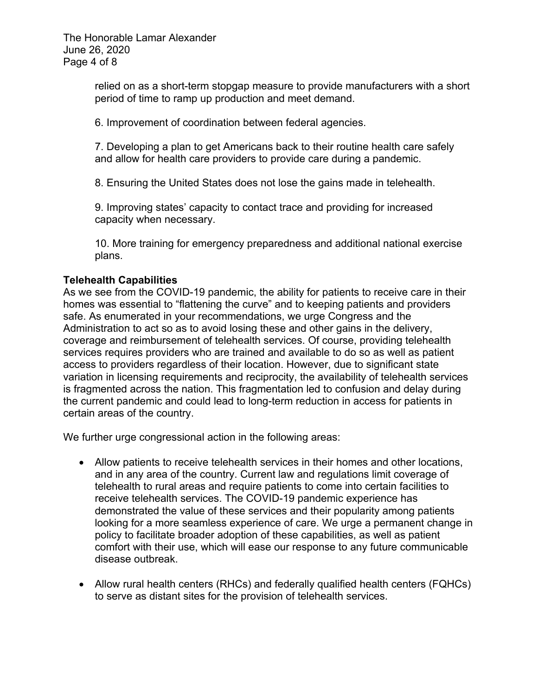The Honorable Lamar Alexander June 26, 2020 Page 4 of 8

> relied on as a short-term stopgap measure to provide manufacturers with a short period of time to ramp up production and meet demand.

6. Improvement of coordination between federal agencies.

7. Developing a plan to get Americans back to their routine health care safely and allow for health care providers to provide care during a pandemic.

8. Ensuring the United States does not lose the gains made in telehealth.

9. Improving states' capacity to contact trace and providing for increased capacity when necessary.

10. More training for emergency preparedness and additional national exercise plans.

## **Telehealth Capabilities**

As we see from the COVID-19 pandemic, the ability for patients to receive care in their homes was essential to "flattening the curve" and to keeping patients and providers safe. As enumerated in your recommendations, we urge Congress and the Administration to act so as to avoid losing these and other gains in the delivery, coverage and reimbursement of telehealth services. Of course, providing telehealth services requires providers who are trained and available to do so as well as patient access to providers regardless of their location. However, due to significant state variation in licensing requirements and reciprocity, the availability of telehealth services is fragmented across the nation. This fragmentation led to confusion and delay during the current pandemic and could lead to long-term reduction in access for patients in certain areas of the country.

We further urge congressional action in the following areas:

- Allow patients to receive telehealth services in their homes and other locations, and in any area of the country. Current law and regulations limit coverage of telehealth to rural areas and require patients to come into certain facilities to receive telehealth services. The COVID-19 pandemic experience has demonstrated the value of these services and their popularity among patients looking for a more seamless experience of care. We urge a permanent change in policy to facilitate broader adoption of these capabilities, as well as patient comfort with their use, which will ease our response to any future communicable disease outbreak.
- Allow rural health centers (RHCs) and federally qualified health centers (FQHCs) to serve as distant sites for the provision of telehealth services.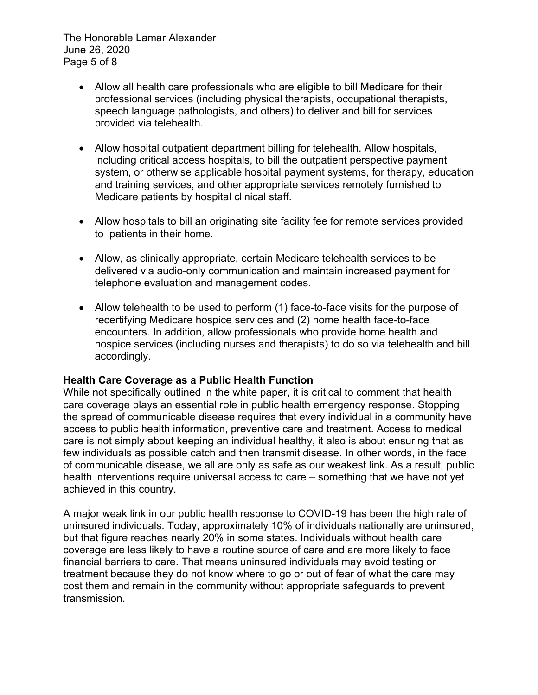The Honorable Lamar Alexander June 26, 2020 Page 5 of 8

- Allow all health care professionals who are eligible to bill Medicare for their professional services (including physical therapists, occupational therapists, speech language pathologists, and others) to deliver and bill for services provided via telehealth.
- Allow hospital outpatient department billing for telehealth. Allow hospitals, including critical access hospitals, to bill the outpatient perspective payment system, or otherwise applicable hospital payment systems, for therapy, education and training services, and other appropriate services remotely furnished to Medicare patients by hospital clinical staff.
- Allow hospitals to bill an originating site facility fee for remote services provided to patients in their home.
- Allow, as clinically appropriate, certain Medicare telehealth services to be delivered via audio-only communication and maintain increased payment for telephone evaluation and management codes.
- Allow telehealth to be used to perform (1) face-to-face visits for the purpose of recertifying Medicare hospice services and (2) home health face-to-face encounters. In addition, allow professionals who provide home health and hospice services (including nurses and therapists) to do so via telehealth and bill accordingly.

## **Health Care Coverage as a Public Health Function**

While not specifically outlined in the white paper, it is critical to comment that health care coverage plays an essential role in public health emergency response. Stopping the spread of communicable disease requires that every individual in a community have access to public health information, preventive care and treatment. Access to medical care is not simply about keeping an individual healthy, it also is about ensuring that as few individuals as possible catch and then transmit disease. In other words, in the face of communicable disease, we all are only as safe as our weakest link. As a result, public health interventions require universal access to care – something that we have not yet achieved in this country.

A major weak link in our public health response to COVID-19 has been the high rate of uninsured individuals. Today, approximately 10% of individuals nationally are uninsured, but that figure reaches nearly 20% in some states. Individuals without health care coverage are less likely to have a routine source of care and are more likely to face financial barriers to care. That means uninsured individuals may avoid testing or treatment because they do not know where to go or out of fear of what the care may cost them and remain in the community without appropriate safeguards to prevent transmission.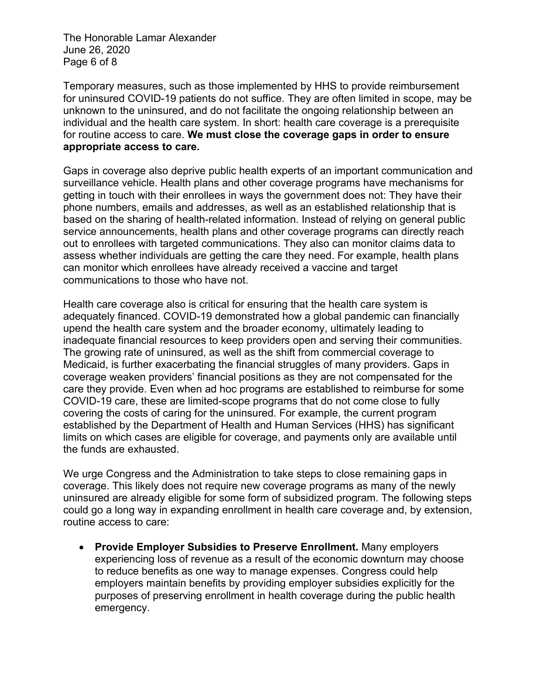The Honorable Lamar Alexander June 26, 2020 Page 6 of 8

Temporary measures, such as those implemented by HHS to provide reimbursement for uninsured COVID-19 patients do not suffice. They are often limited in scope, may be unknown to the uninsured, and do not facilitate the ongoing relationship between an individual and the health care system. In short: health care coverage is a prerequisite for routine access to care. **We must close the coverage gaps in order to ensure appropriate access to care.**

Gaps in coverage also deprive public health experts of an important communication and surveillance vehicle. Health plans and other coverage programs have mechanisms for getting in touch with their enrollees in ways the government does not: They have their phone numbers, emails and addresses, as well as an established relationship that is based on the sharing of health-related information. Instead of relying on general public service announcements, health plans and other coverage programs can directly reach out to enrollees with targeted communications. They also can monitor claims data to assess whether individuals are getting the care they need. For example, health plans can monitor which enrollees have already received a vaccine and target communications to those who have not.

Health care coverage also is critical for ensuring that the health care system is adequately financed. COVID-19 demonstrated how a global pandemic can financially upend the health care system and the broader economy, ultimately leading to inadequate financial resources to keep providers open and serving their communities. The growing rate of uninsured, as well as the shift from commercial coverage to Medicaid, is further exacerbating the financial struggles of many providers. Gaps in coverage weaken providers' financial positions as they are not compensated for the care they provide. Even when ad hoc programs are established to reimburse for some COVID-19 care, these are limited-scope programs that do not come close to fully covering the costs of caring for the uninsured. For example, the current program established by the Department of Health and Human Services (HHS) has significant limits on which cases are eligible for coverage, and payments only are available until the funds are exhausted.

We urge Congress and the Administration to take steps to close remaining gaps in coverage. This likely does not require new coverage programs as many of the newly uninsured are already eligible for some form of subsidized program. The following steps could go a long way in expanding enrollment in health care coverage and, by extension, routine access to care:

 **Provide Employer Subsidies to Preserve Enrollment.** Many employers experiencing loss of revenue as a result of the economic downturn may choose to reduce benefits as one way to manage expenses. Congress could help employers maintain benefits by providing employer subsidies explicitly for the purposes of preserving enrollment in health coverage during the public health emergency.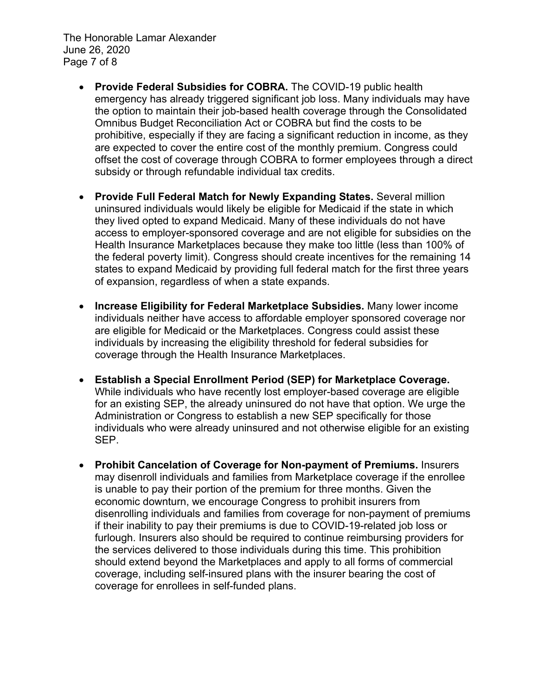The Honorable Lamar Alexander June 26, 2020 Page 7 of 8

- **Provide Federal Subsidies for COBRA.** The COVID-19 public health emergency has already triggered significant job loss. Many individuals may have the option to maintain their job-based health coverage through the Consolidated Omnibus Budget Reconciliation Act or COBRA but find the costs to be prohibitive, especially if they are facing a significant reduction in income, as they are expected to cover the entire cost of the monthly premium. Congress could offset the cost of coverage through COBRA to former employees through a direct subsidy or through refundable individual tax credits.
- **Provide Full Federal Match for Newly Expanding States.** Several million uninsured individuals would likely be eligible for Medicaid if the state in which they lived opted to expand Medicaid. Many of these individuals do not have access to employer-sponsored coverage and are not eligible for subsidies on the Health Insurance Marketplaces because they make too little (less than 100% of the federal poverty limit). Congress should create incentives for the remaining 14 states to expand Medicaid by providing full federal match for the first three years of expansion, regardless of when a state expands.
- **Increase Eligibility for Federal Marketplace Subsidies.** Many lower income individuals neither have access to affordable employer sponsored coverage nor are eligible for Medicaid or the Marketplaces. Congress could assist these individuals by increasing the eligibility threshold for federal subsidies for coverage through the Health Insurance Marketplaces.
- **Establish a Special Enrollment Period (SEP) for Marketplace Coverage.** While individuals who have recently lost employer-based coverage are eligible for an existing SEP, the already uninsured do not have that option. We urge the Administration or Congress to establish a new SEP specifically for those individuals who were already uninsured and not otherwise eligible for an existing SEP.
- **Prohibit Cancelation of Coverage for Non-payment of Premiums.** Insurers may disenroll individuals and families from Marketplace coverage if the enrollee is unable to pay their portion of the premium for three months. Given the economic downturn, we encourage Congress to prohibit insurers from disenrolling individuals and families from coverage for non-payment of premiums if their inability to pay their premiums is due to COVID-19-related job loss or furlough. Insurers also should be required to continue reimbursing providers for the services delivered to those individuals during this time. This prohibition should extend beyond the Marketplaces and apply to all forms of commercial coverage, including self-insured plans with the insurer bearing the cost of coverage for enrollees in self-funded plans.